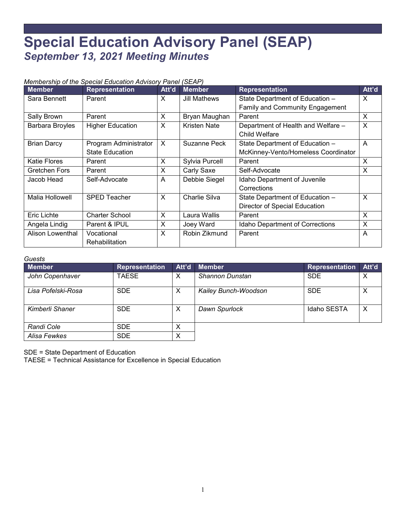## **Special Education Advisory Panel (SEAP)** *September 13, 2021 Meeting Minutes*

## *Membership of the Special Education Advisory Panel (SEAP)*

| <b>Member</b>          | <b>Representation</b>   | Att'd | <b>Member</b>       | <b>Representation</b>                  | Att'd |
|------------------------|-------------------------|-------|---------------------|----------------------------------------|-------|
| Sara Bennett           | Parent                  | X     | <b>Jill Mathews</b> | State Department of Education -        | X     |
|                        |                         |       |                     | <b>Family and Community Engagement</b> |       |
| Sally Brown            | Parent                  | X     | Bryan Maughan       | Parent                                 | X     |
| <b>Barbara Broyles</b> | <b>Higher Education</b> | X     | <b>Kristen Nate</b> | Department of Health and Welfare -     | X     |
|                        |                         |       |                     | <b>Child Welfare</b>                   |       |
| <b>Brian Darcy</b>     | Program Administrator   | X     | Suzanne Peck        | State Department of Education -        | A     |
|                        | <b>State Education</b>  |       |                     | McKinney-Vento/Homeless Coordinator    |       |
| <b>Katie Flores</b>    | Parent                  | X     | Sylvia Purcell      | Parent                                 | X     |
| Gretchen Fors          | Parent                  | X     | Carly Saxe          | Self-Advocate                          | X     |
| Jacob Head             | Self-Advocate           | A     | Debbie Siegel       | Idaho Department of Juvenile           |       |
|                        |                         |       |                     | Corrections                            |       |
| Malia Hollowell        | <b>SPED Teacher</b>     | X     | Charlie Silva       | State Department of Education -        | X     |
|                        |                         |       |                     | Director of Special Education          |       |
| <b>Eric Lichte</b>     | <b>Charter School</b>   | X     | Laura Wallis        | Parent                                 | X     |
| Angela Lindig          | Parent & IPUL           | X     | Joey Ward           | Idaho Department of Corrections        | X     |
| Alison Lowenthal       | Vocational              | X     | Robin Zikmund       | Parent<br>A                            |       |
|                        | Rehabilitation          |       |                     |                                        |       |

## *Guests*

| <b>Member</b>      | Representation | Att'd | <b>Member</b>        | <b>Representation</b> | Att'd |
|--------------------|----------------|-------|----------------------|-----------------------|-------|
| John Copenhaver    | <b>TAESE</b>   | X     | Shannon Dunstan      | <b>SDE</b>            | Х     |
| Lisa Pofelski-Rosa | <b>SDE</b>     | X     | Kailey Bunch-Woodson | <b>SDE</b>            | Х     |
| Kimberli Shaner    | <b>SDE</b>     | X     | Dawn Spurlock        | Idaho SESTA           | X     |
| Randi Cole         | <b>SDE</b>     | Χ     |                      |                       |       |
| Alisa Fewkes       | <b>SDE</b>     | Х     |                      |                       |       |

SDE = State Department of Education

TAESE = Technical Assistance for Excellence in Special Education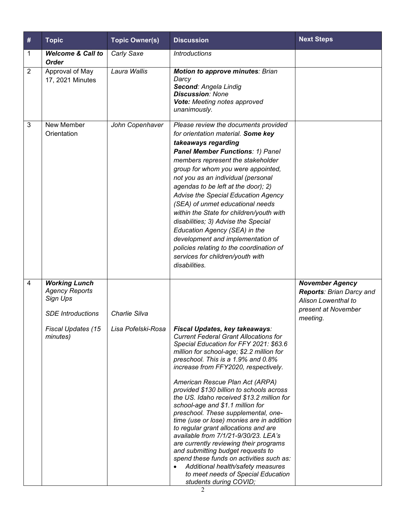| #              | <b>Topic</b>                                                                          | <b>Topic Owner(s)</b> | <b>Discussion</b>                                                                                                                                                                                                                                                                                                                                                                                                                                                                                                                                                                                                                                                                                                                                                                                                                    | <b>Next Steps</b>                                                                                            |
|----------------|---------------------------------------------------------------------------------------|-----------------------|--------------------------------------------------------------------------------------------------------------------------------------------------------------------------------------------------------------------------------------------------------------------------------------------------------------------------------------------------------------------------------------------------------------------------------------------------------------------------------------------------------------------------------------------------------------------------------------------------------------------------------------------------------------------------------------------------------------------------------------------------------------------------------------------------------------------------------------|--------------------------------------------------------------------------------------------------------------|
| 1              | <b>Welcome &amp; Call to</b><br><b>Order</b>                                          | Carly Saxe            | <b>Introductions</b>                                                                                                                                                                                                                                                                                                                                                                                                                                                                                                                                                                                                                                                                                                                                                                                                                 |                                                                                                              |
| $\overline{2}$ | Approval of May<br>17, 2021 Minutes                                                   | Laura Wallis          | <b>Motion to approve minutes: Brian</b><br>Darcy<br>Second: Angela Lindig<br><b>Discussion: None</b><br>Vote: Meeting notes approved<br>unanimously.                                                                                                                                                                                                                                                                                                                                                                                                                                                                                                                                                                                                                                                                                 |                                                                                                              |
| 3              | New Member<br>Orientation                                                             | John Copenhaver       | Please review the documents provided<br>for orientation material. Some key<br>takeaways regarding<br><b>Panel Member Functions: 1) Panel</b><br>members represent the stakeholder<br>group for whom you were appointed,<br>not you as an individual (personal<br>agendas to be left at the door); 2)<br>Advise the Special Education Agency<br>(SEA) of unmet educational needs<br>within the State for children/youth with<br>disabilities; 3) Advise the Special<br>Education Agency (SEA) in the<br>development and implementation of<br>policies relating to the coordination of<br>services for children/youth with<br>disabilities.                                                                                                                                                                                            |                                                                                                              |
| $\overline{4}$ | <b>Working Lunch</b><br><b>Agency Reports</b><br>Sign Ups<br><b>SDE</b> Introductions | Charlie Silva         |                                                                                                                                                                                                                                                                                                                                                                                                                                                                                                                                                                                                                                                                                                                                                                                                                                      | <b>November Agency</b><br>Reports: Brian Darcy and<br>Alison Lowenthal to<br>present at November<br>meeting. |
|                | Fiscal Updates (15<br>minutes)                                                        | Lisa Pofelski-Rosa    | Fiscal Updates, key takeaways:<br><b>Current Federal Grant Allocations for</b><br>Special Education for FFY 2021: \$63.6<br>million for school-age; \$2.2 million for<br>preschool. This is a 1.9% and 0.8%<br>increase from FFY2020, respectively.<br>American Rescue Plan Act (ARPA)<br>provided \$130 billion to schools across<br>the US. Idaho received \$13.2 million for<br>school-age and \$1.1 million for<br>preschool. These supplemental, one-<br>time (use or lose) monies are in addition<br>to regular grant allocations and are<br>available from 7/1/21-9/30/23. LEA's<br>are currently reviewing their programs<br>and submitting budget requests to<br>spend these funds on activities such as:<br>Additional health/safety measures<br>$\bullet$<br>to meet needs of Special Education<br>students during COVID; |                                                                                                              |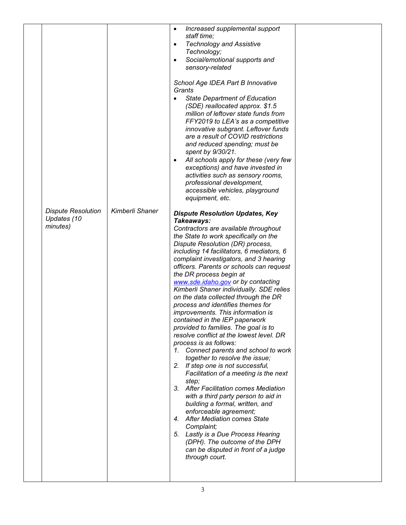|                                                      |                 | Increased supplemental support<br>$\bullet$<br>staff time;<br><b>Technology and Assistive</b><br>$\bullet$<br>Technology;<br>Social/emotional supports and<br>$\bullet$<br>sensory-related<br>School Age IDEA Part B Innovative<br>Grants<br><b>State Department of Education</b><br>$\bullet$<br>(SDE) reallocated approx. \$1.5<br>million of leftover state funds from<br>FFY2019 to LEA's as a competitive<br>innovative subgrant. Leftover funds<br>are a result of COVID restrictions<br>and reduced spending; must be<br>spent by 9/30/21.<br>All schools apply for these (very few<br>$\bullet$<br>exceptions) and have invested in<br>activities such as sensory rooms,<br>professional development,<br>accessible vehicles, playground<br>equipment, etc.                                                                                                                                                                                                                                                                                                                                                                                                                        |  |
|------------------------------------------------------|-----------------|--------------------------------------------------------------------------------------------------------------------------------------------------------------------------------------------------------------------------------------------------------------------------------------------------------------------------------------------------------------------------------------------------------------------------------------------------------------------------------------------------------------------------------------------------------------------------------------------------------------------------------------------------------------------------------------------------------------------------------------------------------------------------------------------------------------------------------------------------------------------------------------------------------------------------------------------------------------------------------------------------------------------------------------------------------------------------------------------------------------------------------------------------------------------------------------------|--|
| <b>Dispute Resolution</b><br>Updates (10<br>minutes) | Kimberli Shaner | <b>Dispute Resolution Updates, Key</b><br>Takeaways:<br>Contractors are available throughout<br>the State to work specifically on the<br>Dispute Resolution (DR) process,<br>including 14 facilitators, 6 mediators, 6<br>complaint investigators, and 3 hearing<br>officers. Parents or schools can request<br>the DR process begin at<br>www.sde.idaho.gov or by contacting<br>Kimberli Shaner individually. SDE relies<br>on the data collected through the DR<br>process and identifies themes for<br>improvements. This information is<br>contained in the IEP paperwork<br>provided to families. The goal is to<br>resolve conflict at the lowest level. DR<br>process is as follows:<br>1. Connect parents and school to work<br>together to resolve the issue;<br>2. If step one is not successful,<br>Facilitation of a meeting is the next<br>step;<br>3. After Facilitation comes Mediation<br>with a third party person to aid in<br>building a formal, written, and<br>enforceable agreement;<br>4. After Mediation comes State<br>Complaint;<br>5. Lastly is a Due Process Hearing<br>(DPH). The outcome of the DPH<br>can be disputed in front of a judge<br>through court. |  |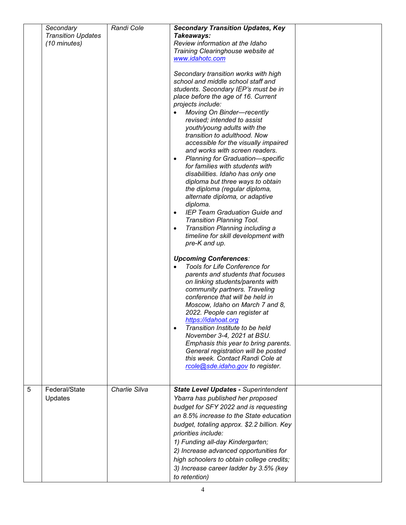|   | Secondary<br><b>Transition Updates</b><br>(10 minutes) | Randi Cole    | <b>Secondary Transition Updates, Key</b><br>Takeaways:<br>Review information at the Idaho<br>Training Clearinghouse website at<br>www.idahotc.com<br>Secondary transition works with high<br>school and middle school staff and<br>students. Secondary IEP's must be in<br>place before the age of 16. Current<br>projects include:<br>Moving On Binder-recently<br>revised; intended to assist<br>youth/young adults with the<br>transition to adulthood. Now<br>accessible for the visually impaired<br>and works with screen readers.<br>Planning for Graduation-specific<br>for families with students with<br>disabilities. Idaho has only one<br>diploma but three ways to obtain<br>the diploma (regular diploma,<br>alternate diploma, or adaptive<br>diploma.<br>IEP Team Graduation Guide and<br>Transition Planning Tool.<br>Transition Planning including a<br>timeline for skill development with<br>pre-K and up.<br><b>Upcoming Conferences:</b><br><b>Tools for Life Conference for</b><br>parents and students that focuses<br>on linking students/parents with<br>community partners. Traveling<br>conference that will be held in<br>Moscow, Idaho on March 7 and 8,<br>2022. People can register at<br>https://idahoat.org<br>Transition Institute to be held<br>November 3-4, 2021 at BSU.<br>Emphasis this year to bring parents.<br>General registration will be posted<br>this week. Contact Randi Cole at<br>rcole@sde.idaho.gov to register. |  |
|---|--------------------------------------------------------|---------------|------------------------------------------------------------------------------------------------------------------------------------------------------------------------------------------------------------------------------------------------------------------------------------------------------------------------------------------------------------------------------------------------------------------------------------------------------------------------------------------------------------------------------------------------------------------------------------------------------------------------------------------------------------------------------------------------------------------------------------------------------------------------------------------------------------------------------------------------------------------------------------------------------------------------------------------------------------------------------------------------------------------------------------------------------------------------------------------------------------------------------------------------------------------------------------------------------------------------------------------------------------------------------------------------------------------------------------------------------------------------------------------------------------------------------------------------------------------------|--|
| 5 | Federal/State<br>Updates                               | Charlie Silva | <b>State Level Updates - Superintendent</b><br>Ybarra has published her proposed<br>budget for SFY 2022 and is requesting<br>an 8.5% increase to the State education<br>budget, totaling approx. \$2.2 billion. Key<br>priorities include:<br>1) Funding all-day Kindergarten;<br>2) Increase advanced opportunities for<br>high schoolers to obtain college credits;<br>3) Increase career ladder by 3.5% (key<br>to retention)                                                                                                                                                                                                                                                                                                                                                                                                                                                                                                                                                                                                                                                                                                                                                                                                                                                                                                                                                                                                                                       |  |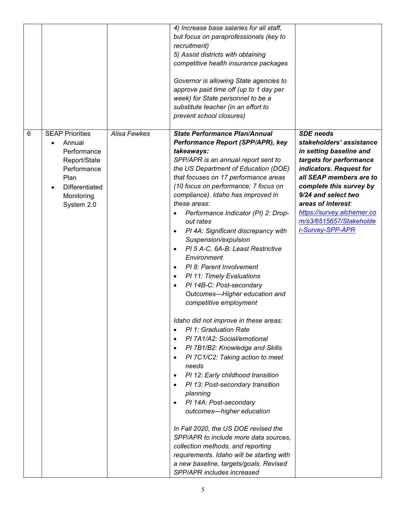|   |                                                                                                                                      |              | 4) Increase base salaries for all staff,<br>but focus on paraprofessionals (key to<br>recruitment)<br>5) Assist districts with obtaining<br>competitive health insurance packages<br>Governor is allowing State agencies to<br>approve paid time off (up to 1 day per<br>week) for State personnel to be a<br>substitute teacher (in an effort to<br>prevent school closures)                                                                                                                                                                                                                                                                                                                                                                                                                                                                                                                                                                                                                                                                                                                                                                                                                                                                                                                                                                                                               |                                                                                                                                                                                                                                                                                                               |
|---|--------------------------------------------------------------------------------------------------------------------------------------|--------------|---------------------------------------------------------------------------------------------------------------------------------------------------------------------------------------------------------------------------------------------------------------------------------------------------------------------------------------------------------------------------------------------------------------------------------------------------------------------------------------------------------------------------------------------------------------------------------------------------------------------------------------------------------------------------------------------------------------------------------------------------------------------------------------------------------------------------------------------------------------------------------------------------------------------------------------------------------------------------------------------------------------------------------------------------------------------------------------------------------------------------------------------------------------------------------------------------------------------------------------------------------------------------------------------------------------------------------------------------------------------------------------------|---------------------------------------------------------------------------------------------------------------------------------------------------------------------------------------------------------------------------------------------------------------------------------------------------------------|
| 6 | <b>SEAP Priorities</b><br>Annual<br>Performance<br>Report/State<br>Performance<br>Plan<br>Differentiated<br>Monitoring<br>System 2.0 | Alisa Fewkes | <b>State Performance Plan/Annual</b><br>Performance Report (SPP/APR), key<br>takeaways:<br>SPP/APR is an annual report sent to<br>the US Department of Education (DOE)<br>that focuses on 17 performance areas<br>(10 focus on performance; 7 focus on<br>compliance). Idaho has improved in<br>these areas:<br>Performance Indicator (PI) 2: Drop-<br>$\bullet$<br>out rates<br>PI 4A: Significant discrepancy with<br>$\bullet$<br>Suspension/expulsion<br>PI 5 A-C, 6A-B: Least Restrictive<br>$\bullet$<br>Environment<br>PI 8: Parent Involvement<br>$\bullet$<br>PI 11: Timely Evaluations<br>$\bullet$<br>PI 14B-C: Post-secondary<br>$\bullet$<br>Outcomes-Higher education and<br>competitive employment<br>Idaho did not improve in these areas:<br>PI 1: Graduation Rate<br>$\bullet$<br>PI 7A1/A2: Social/emotional<br>$\bullet$<br>PI 7B1/B2: Knowledge and Skills<br>$\bullet$<br>PI 7C1/C2: Taking action to meet<br>$\bullet$<br>needs<br>PI 12: Early childhood transition<br>$\bullet$<br>PI 13: Post-secondary transition<br>$\bullet$<br>planning<br>PI 14A: Post-secondary<br>$\bullet$<br>outcomes—higher education<br>In Fall 2020, the US DOE revised the<br>SPP/APR to include more data sources,<br>collection methods, and reporting<br>requirements. Idaho will be starting with<br>a new baseline, targets/goals. Revised<br><b>SPP/APR</b> includes increased | <b>SDE</b> needs<br>stakeholders' assistance<br>in setting baseline and<br>targets for performance<br>indicators. Request for<br>all SEAP members are to<br>complete this survey by<br>9/24 and select two<br>areas of interest:<br>https://survey.alchemer.co<br>m/s3/6515657/Stakeholde<br>r-Survey-SPP-APR |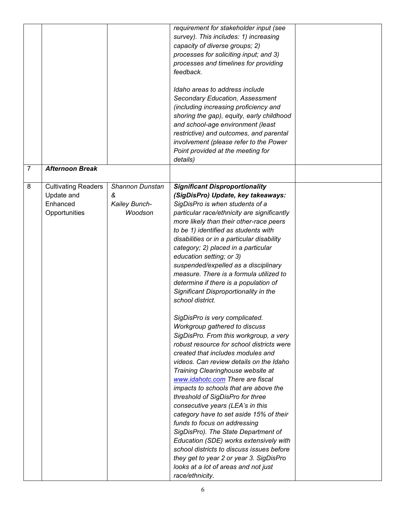|                |                                                                       |                                                  | requirement for stakeholder input (see<br>survey). This includes: 1) increasing<br>capacity of diverse groups; 2)<br>processes for soliciting input; and 3)<br>processes and timelines for providing<br>feedback.<br>Idaho areas to address include<br>Secondary Education, Assessment<br>(including increasing proficiency and<br>shoring the gap), equity, early childhood<br>and school-age environment (least<br>restrictive) and outcomes, and parental<br>involvement (please refer to the Power<br>Point provided at the meeting for<br>details)                                                                                                                                                                                                                                                                                                                                                                                                                                                                                                                                                                                                                                                                                                                                                       |  |
|----------------|-----------------------------------------------------------------------|--------------------------------------------------|---------------------------------------------------------------------------------------------------------------------------------------------------------------------------------------------------------------------------------------------------------------------------------------------------------------------------------------------------------------------------------------------------------------------------------------------------------------------------------------------------------------------------------------------------------------------------------------------------------------------------------------------------------------------------------------------------------------------------------------------------------------------------------------------------------------------------------------------------------------------------------------------------------------------------------------------------------------------------------------------------------------------------------------------------------------------------------------------------------------------------------------------------------------------------------------------------------------------------------------------------------------------------------------------------------------|--|
| $\overline{7}$ | <b>Afternoon Break</b>                                                |                                                  |                                                                                                                                                                                                                                                                                                                                                                                                                                                                                                                                                                                                                                                                                                                                                                                                                                                                                                                                                                                                                                                                                                                                                                                                                                                                                                               |  |
| 8              | <b>Cultivating Readers</b><br>Update and<br>Enhanced<br>Opportunities | Shannon Dunstan<br>&<br>Kailey Bunch-<br>Woodson | <b>Significant Disproportionality</b><br>(SigDisPro) Update, key takeaways:<br>SigDisPro is when students of a<br>particular race/ethnicity are significantly<br>more likely than their other-race peers<br>to be 1) identified as students with<br>disabilities or in a particular disability<br>category; 2) placed in a particular<br>education setting; or 3)<br>suspended/expelled as a disciplinary<br>measure. There is a formula utilized to<br>determine if there is a population of<br>Significant Disproportionality in the<br>school district.<br>SigDisPro is very complicated.<br>Workgroup gathered to discuss<br>SigDisPro. From this workgroup, a very<br>robust resource for school districts were<br>created that includes modules and<br>videos. Can review details on the Idaho<br>Training Clearinghouse website at<br>www.idahotc.com There are fiscal<br>impacts to schools that are above the<br>threshold of SigDisPro for three<br>consecutive years (LEA's in this<br>category have to set aside 15% of their<br>funds to focus on addressing<br>SigDisPro). The State Department of<br>Education (SDE) works extensively with<br>school districts to discuss issues before<br>they get to year 2 or year 3. SigDisPro<br>looks at a lot of areas and not just<br>race/ethnicity. |  |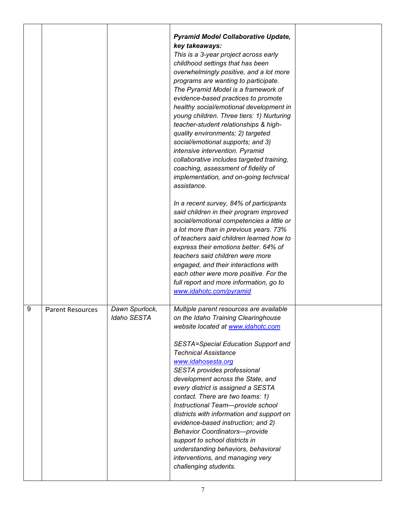|   |                         |                                      | <b>Pyramid Model Collaborative Update,</b><br>key takeaways:<br>This is a 3-year project across early<br>childhood settings that has been                                                                                                                                                                                                                                                                                                                                                                                                                                                                                                                                   |  |
|---|-------------------------|--------------------------------------|-----------------------------------------------------------------------------------------------------------------------------------------------------------------------------------------------------------------------------------------------------------------------------------------------------------------------------------------------------------------------------------------------------------------------------------------------------------------------------------------------------------------------------------------------------------------------------------------------------------------------------------------------------------------------------|--|
|   |                         |                                      | overwhelmingly positive, and a lot more<br>programs are wanting to participate.<br>The Pyramid Model is a framework of<br>evidence-based practices to promote<br>healthy social/emotional development in<br>young children. Three tiers: 1) Nurturing<br>teacher-student relationships & high-<br>quality environments; 2) targeted<br>social/emotional supports; and 3)<br>intensive intervention. Pyramid<br>collaborative includes targeted training,<br>coaching, assessment of fidelity of<br>implementation, and on-going technical<br>assistance.                                                                                                                    |  |
|   |                         |                                      | In a recent survey, 84% of participants<br>said children in their program improved<br>social/emotional competencies a little or<br>a lot more than in previous years. 73%<br>of teachers said children learned how to<br>express their emotions better. 64% of<br>teachers said children were more<br>engaged, and their interactions with<br>each other were more positive. For the<br>full report and more information, go to<br>www.idahotc.com/pyramid                                                                                                                                                                                                                  |  |
| 9 | <b>Parent Resources</b> | Dawn Spurlock,<br><b>Idaho SESTA</b> | Multiple parent resources are available<br>on the Idaho Training Clearinghouse<br>website located at www.idahotc.com<br><b>SESTA=Special Education Support and</b><br><b>Technical Assistance</b><br>www.idahosesta.org<br>SESTA provides professional<br>development across the State, and<br>every district is assigned a SESTA<br>contact. There are two teams: 1)<br>Instructional Team-provide school<br>districts with information and support on<br>evidence-based instruction; and 2)<br><b>Behavior Coordinators-provide</b><br>support to school districts in<br>understanding behaviors, behavioral<br>interventions, and managing very<br>challenging students. |  |